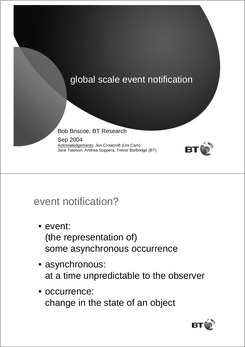

## event notification?

- event: (the representation of) some asynchronous occurrence
- asynchronous: at a time unpredictable to the observer
- occurrence: change in the state of an object

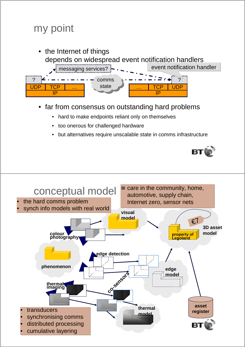



- far from consensus on outstanding hard problems
	- hard to make endpoints reliant only on themselves
	- too onerous for challenged hardware
	- but alternatives require unscalable state in comms infrastructure



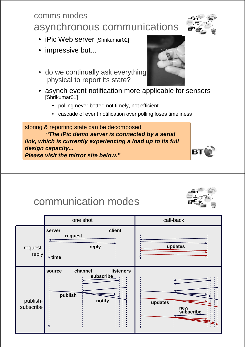### comms modes asynchronous communications

- iPic Web server [Shrikumar02]
- impressive but...
- do we continually ask everything physical to report its state?
- asynch event notification more applicable for sensors [Shrikumar01]
	- polling never better: not timely, not efficient
	- cascade of event notification over polling loses timeliness

storing & reporting state can be decomposed **"The iPic demo server is connected by a serial link, which is currently experiencing a load up to its full design capacity... Please visit the mirror site below."**

## communication modes

|                       | one shot                                                                                                               | call-back                   |
|-----------------------|------------------------------------------------------------------------------------------------------------------------|-----------------------------|
| request-<br>reply     | client<br>server<br>request<br>reply<br>$\forall$ time                                                                 | updates                     |
| publish-<br>subscribe | channel<br><b>listeners</b><br>source<br>subscribe<br>$\mathbf{L}$<br>$\mathbf{I}$<br>$1 - 1 - 1$<br>publish<br>notify | updates<br>new<br>subscribe |





B<sub>1</sub>

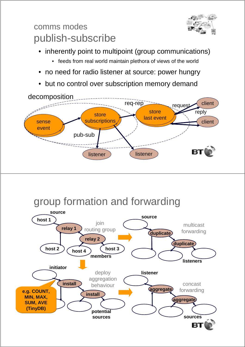

### comms modes publish-subscribe

- inherently point to multipoint (group communications)
	- feeds from real world maintain plethora of views of the world
- no need for radio listener at source: power hungry
- but no control over subscription memory demand



# group formation and forwarding

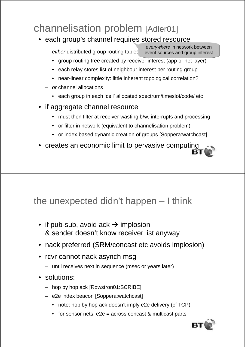# channelisation problem [Adler01]

- each group's channel requires stored resource
	- either distributed group routing tables event sources and group interest everywhere in network between
		- group routing tree created by receiver interest (app or net layer)
		- each relay stores list of neighbour interest per routing group
		- near-linear complexity: little inherent topological correlation?
	- or channel allocations
		- each group in each 'cell' allocated spectrum/timeslot/code/ etc
- if aggregate channel resource
	- must then filter at receiver wasting b/w, interrupts and processing
	- or filter in network (equivalent to channelisation problem)
	- or index-based dynamic creation of groups [Soppera:watchcast]
- creates an economic limit to pervasive computing

#### the unexpected didn't happen – I think

- if pub-sub, avoid ack  $\rightarrow$  implosion & sender doesn't know receiver list anyway
- nack preferred (SRM/concast etc avoids implosion)
- rcvr cannot nack asynch msg
	- until receives next in sequence (msec or years later)
- solutions:
	- hop by hop ack [Rowstron01:SCRIBE]
	- e2e index beacon [Soppera:watchcast]
		- note: hop by hop ack doesn't imply e2e delivery (cf TCP)
		- for sensor nets, e2e = across concast & multicast parts

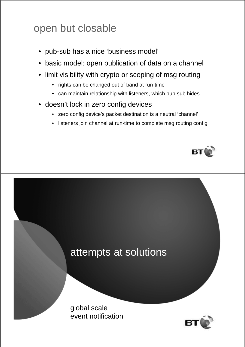# open but closable

- pub-sub has a nice 'business model'
- basic model: open publication of data on a channel
- limit visibility with crypto or scoping of msg routing
	- rights can be changed out of band at run-time
	- can maintain relationship with listeners, which pub-sub hides
- doesn't lock in zero config devices
	- zero config device's packet destination is a neutral 'channel'
	- listeners join channel at run-time to complete msg routing config



# attempts at solutions

global scale event notification

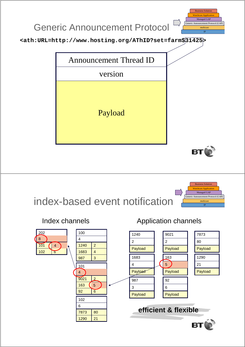

# index-based event notification

101

202 7 8

 $102$  6

4



Index channels **Application channels** 

IP multicast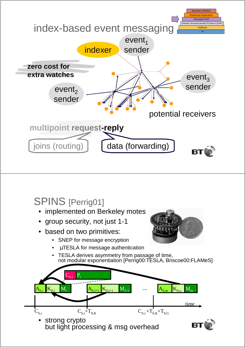

## SPINS [Perrig01]

- implemented on Berkeley motes
- group security, not just 1-1
- based on two primitives:
	- SNEP for message encryption
	- µTESLA for message authentication
	- TESLA derives asymmetry from passage of time, not modular exponentiation [Perrig00:TESLA, Briscoe00:FLAMeS]

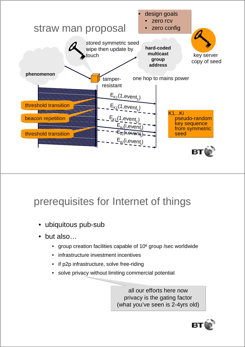

# prerequisites for Internet of things

- ubiquitous pub-sub
- but also...
	- group creation facilities capable of 10<sup>6</sup> group / sec world wide
	- infrastructure investment incentives
	- if p2p infrastructure, solve free-riding
	- solve privacy without limiting commercial potential

all our efforts here now privacy is the gating factor (what you've seen is 2-4yrs old)

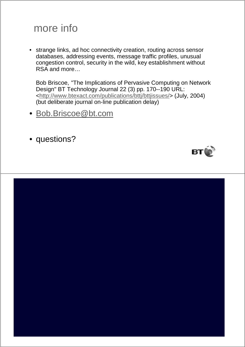## more info

• strange links, ad hoc connectivity creation, routing across sensor databases, addressing events, message traffic profiles, unusual congestion control, security in the wild, key establishment without RSA and more…

Bob Briscoe, "The Implications of Pervasive Computing on Network Design" BT Technology Journal 22 (3) pp. 170--190 URL: <http://www.btexact.com/publications/bttj/bttjissues/> (July, 2004) (but deliberate journal on-line publication delay)

- Bob.Briscoe@bt.com
- questions?

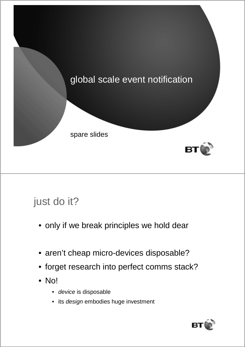

# just do it?

- only if we break principles we hold dear
- aren't cheap micro-devices disposable?
- forget research into perfect comms stack?
- No!
	- device is disposable
	- its design embodies huge investment

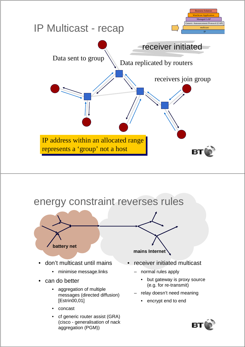



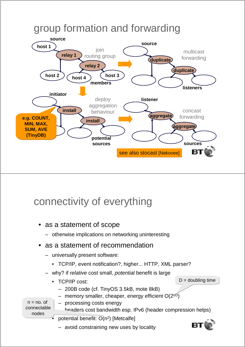

## connectivity of everything

- as a statement of scope
	- otherwise implications on networking uninteresting
- as a statement of recommendation
	- universally present software:
		- TCP/IP, event notification?, higher... HTTP, XML parser?
	- why? if relative cost small, potential benefit is large
		- TCP/IP cost:
			- 200B code (cf. TinyOS 3.5kB, mote 8kB)
			- memory smaller, cheaper, energy efficient  $O(2^{t/D})$

 $n = no$ . of connectable nodes

- processing costs energy headers cost bandwidth esp. IPv6 (header compression helps)
- potential benefit: O(n<sup>2</sup>) [Metcalfe]

– avoid constraining new uses by locality

 $D =$  doubling time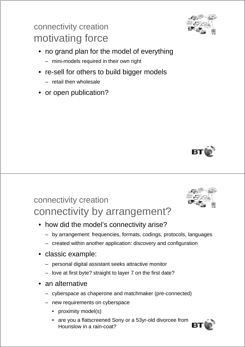### connectivity creation motivating force

- no grand plan for the model of everything
	- mini-models required in their own right
- re-sell for others to build bigger models
	- retail then wholesale
- or open publication?





### connectivity creation connectivity by arrangement?

- how did the model's connectivity arise?
	- by arrangement: frequencies, formats, codings, protocols, languages
	- created within another application: discovery and configuration
- classic example:
	- personal digital assistant seeks attractive monitor
	- love at first byte? straight to layer 7 on the first date?
- an alternative
	- cyberspace as chaperone and matchmaker (pre-connected)
	- new requirements on cyberspace
		- proximity model(s)
		- are you a flatscreened Sony or a 53yr-old divorcee from Hounslow in a rain-coat?